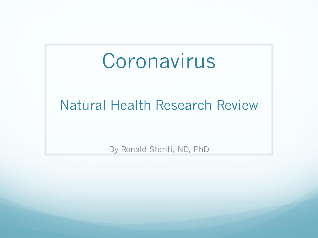#### Coronavirus

#### Natural Health Research Review

By Ronald Steriti, ND, PhD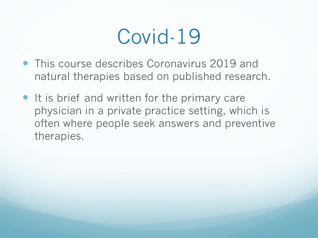### Covid-19

- This course describes Coronavirus 2019 and natural therapies based on published research.
- It is brief and written for the primary care physician in a private practice setting, which is often where people seek answers and preventive therapies.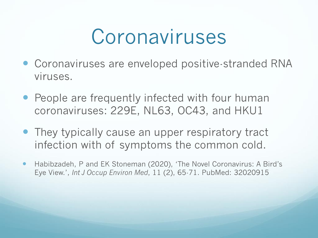### Coronaviruses

- Coronaviruses are enveloped positive-stranded RNA viruses.
- People are frequently infected with four human coronaviruses: 229E, NL63, OC43, and HKU1
- They typically cause an upper respiratory tract infection with of symptoms the common cold.
- Habibzadeh, P and EK Stoneman (2020), 'The Novel Coronavirus: A Bird's Eye View.', *Int J Occup Environ Med*, 11 (2), 65-71. PubMed: 32020915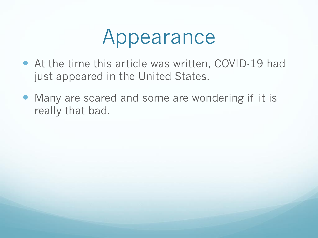### Appearance

- At the time this article was written, COVID-19 had just appeared in the United States.
- Many are scared and some are wondering if it is really that bad.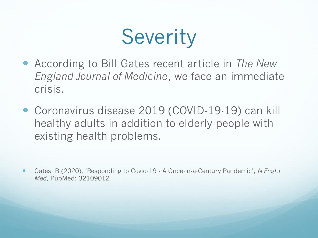# **Severity**

- According to Bill Gates recent article in *The New England Journal of Medicine*, we face an immediate crisis.
- Coronavirus disease 2019 (COVID-19-19) can kill healthy adults in addition to elderly people with existing health problems.

 Gates, B (2020), 'Responding to Covid-19 - A Once-in-a-Century Pandemic', *N Engl J Med*, PubMed: 32109012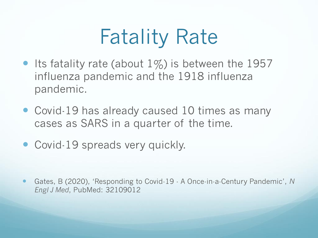# Fatality Rate

- Its fatality rate (about  $1\%$ ) is between the 1957 influenza pandemic and the 1918 influenza pandemic.
- Covid-19 has already caused 10 times as many cases as SARS in a quarter of the time.
- Covid-19 spreads very quickly.

 Gates, B (2020), 'Responding to Covid-19 - A Once-in-a-Century Pandemic', *N Engl J Med*, PubMed: 32109012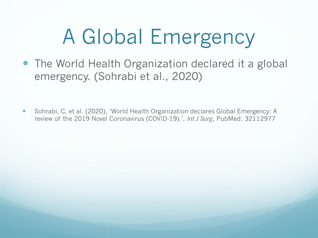# A Global Emergency

• The World Health Organization declared it a global emergency. (Sohrabi et al., 2020)

• Sohrabi, C, et al. (2020), 'World Health Organization declares Global Emergency: A review of the 2019 Novel Coronavirus (COVID-19).', *Int J Surg*, PubMed: 32112977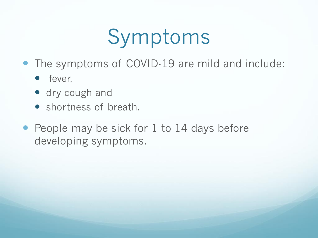# Symptoms

- The symptoms of COVID-19 are mild and include:
	- **•** fever,
	- dry cough and
	- shortness of breath.
- People may be sick for 1 to 14 days before developing symptoms.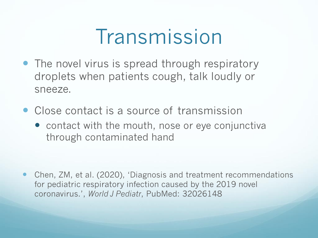### Transmission

- The novel virus is spread through respiratory droplets when patients cough, talk loudly or sneeze.
- Close contact is a source of transmission
	- contact with the mouth, nose or eye conjunctiva through contaminated hand

 Chen, ZM, et al. (2020), 'Diagnosis and treatment recommendations for pediatric respiratory infection caused by the 2019 novel coronavirus.', *World J Pediatr*, PubMed: 32026148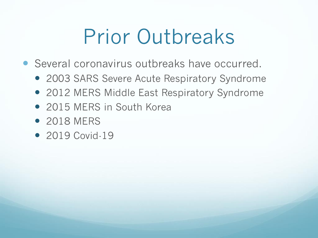# Prior Outbreaks

- Several coronavirus outbreaks have occurred.
	- 2003 SARS Severe Acute Respiratory Syndrome
	- 2012 MERS Middle East Respiratory Syndrome
	- 2015 MERS in South Korea
	- 2018 MERS
	- 2019 Covid-19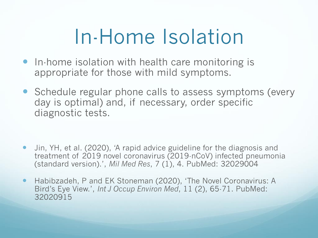# In-Home Isolation

- In-home isolation with health care monitoring is appropriate for those with mild symptoms.
- Schedule regular phone calls to assess symptoms (every day is optimal) and, if necessary, order specific diagnostic tests.

- Jin, YH, et al. (2020), 'A rapid advice guideline for the diagnosis and treatment of 2019 novel coronavirus (2019-nCoV) infected pneumonia (standard version).', *Mil Med Res*, 7 (1), 4. PubMed: 32029004
- Habibzadeh, P and EK Stoneman (2020), 'The Novel Coronavirus: A Bird's Eye View.', *Int J Occup Environ Med*, 11 (2), 65-71. PubMed: 32020915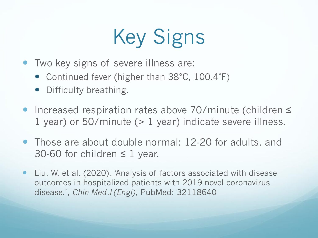# Key Signs

- Two key signs of severe illness are:
	- Continued fever (higher than 38°C, 100.4°F)
	- Difficulty breathing.
- Increased respiration rates above 70/minute (children ≤ 1 year) or 50/minute (> 1 year) indicate severe illness.
- Those are about double normal: 12-20 for adults, and 30-60 for children  $\leq$  1 year.
- Liu, W, et al. (2020), 'Analysis of factors associated with disease outcomes in hospitalized patients with 2019 novel coronavirus disease.', *Chin Med J (Engl)*, PubMed: 32118640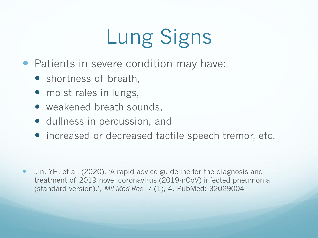# Lung Signs

- Patients in severe condition may have:
	- shortness of breath,
	- moist rales in lungs,
	- weakened breath sounds,
	- dullness in percussion, and
	- increased or decreased tactile speech tremor, etc.

 Jin, YH, et al. (2020), 'A rapid advice guideline for the diagnosis and treatment of 2019 novel coronavirus (2019-nCoV) infected pneumonia (standard version).', *Mil Med Res*, 7 (1), 4. PubMed: 32029004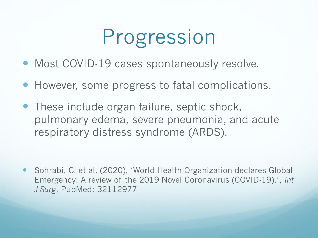# Progression

- Most COVID-19 cases spontaneously resolve.
- However, some progress to fatal complications.
- These include organ failure, septic shock, pulmonary edema, severe pneumonia, and acute respiratory distress syndrome (ARDS).

 Sohrabi, C, et al. (2020), 'World Health Organization declares Global Emergency: A review of the 2019 Novel Coronavirus (COVID-19).', *Int J Surg*, PubMed: 32112977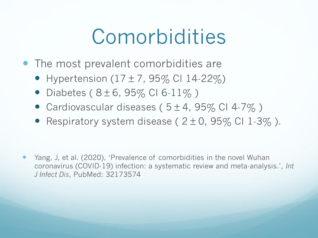### Comorbidities

- The most prevalent comorbidities are
	- Hypertension  $(17 \pm 7, 95\%$  CI 14-22%)
	- Diabetes ( $8 \pm 6$ , 95% CI 6-11%)
	- Cardiovascular diseases ( $5 \pm 4$ , 95% CI 4-7%)
	- Respiratory system disease ( $2 \pm 0$ ,  $95\%$  CI 1-3%).

 Yang, J, et al. (2020), 'Prevalence of comorbidities in the novel Wuhan coronavirus (COVID-19) infection: a systematic review and meta-analysis.', *Int J Infect Dis*, PubMed: 32173574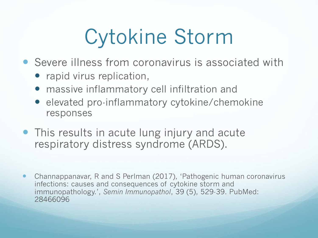# Cytokine Storm

- Severe illness from coronavirus is associated with
	- rapid virus replication,
	- massive inflammatory cell infiltration and
	- **elevated pro-inflammatory cytokine/chemokine** responses
- This results in acute lung injury and acute respiratory distress syndrome (ARDS).
- Channappanavar, R and S Perlman (2017), 'Pathogenic human coronavirus infections: causes and consequences of cytokine storm and immunopathology.', *Semin Immunopathol*, 39 (5), 529-39. PubMed: 28466096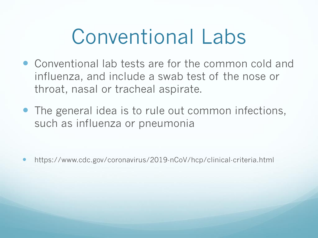### Conventional Labs

- Conventional lab tests are for the common cold and influenza, and include a swab test of the nose or throat, nasal or tracheal aspirate.
- The general idea is to rule out common infections, such as influenza or pneumonia

https://www.cdc.gov/coronavirus/2019-nCoV/hcp/clinical-criteria.html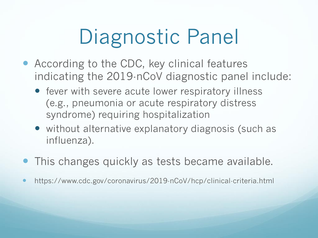# Diagnostic Panel

- According to the CDC, key clinical features indicating the 2019-nCoV diagnostic panel include:
	- fever with severe acute lower respiratory illness (e.g., pneumonia or acute respiratory distress syndrome) requiring hospitalization
	- without alternative explanatory diagnosis (such as influenza).
- This changes quickly as tests became available.
- https://www.cdc.gov/coronavirus/2019-nCoV/hcp/clinical-criteria.html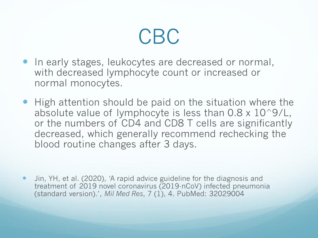

- In early stages, leukocytes are decreased or normal, with decreased lymphocyte count or increased or normal monocytes.
- High attention should be paid on the situation where the absolute value of lymphocyte is less than  $0.8 \times 10^9$ /L, or the numbers of CD4 and CD8 T cells are significantly decreased, which generally recommend rechecking the blood routine changes after 3 days.

 Jin, YH, et al. (2020), 'A rapid advice guideline for the diagnosis and treatment of 2019 novel coronavirus (2019-nCoV) infected pneumonia (standard version).', *Mil Med Res*, 7 (1), 4. PubMed: 32029004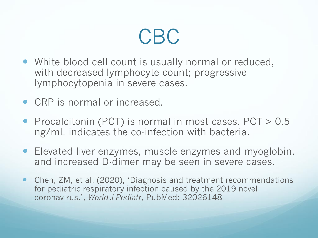#### CBC

- White blood cell count is usually normal or reduced, with decreased lymphocyte count; progressive lymphocytopenia in severe cases.
- CRP is normal or increased.
- Procalcitonin (PCT) is normal in most cases. PCT > 0.5 ng/mL indicates the co-infection with bacteria.
- Elevated liver enzymes, muscle enzymes and myoglobin, and increased D-dimer may be seen in severe cases.
- Chen, ZM, et al. (2020), 'Diagnosis and treatment recommendations for pediatric respiratory infection caused by the 2019 novel coronavirus.', *World J Pediatr*, PubMed: 32026148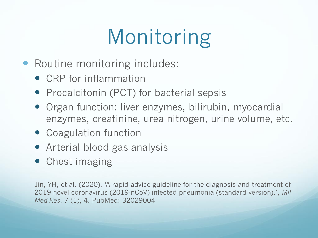# Monitoring

- Routine monitoring includes:
	- CRP for inflammation
	- Procalcitonin (PCT) for bacterial sepsis
	- Organ function: liver enzymes, bilirubin, myocardial enzymes, creatinine, urea nitrogen, urine volume, etc.
	- Coagulation function
	- Arterial blood gas analysis
	- Chest imaging

Jin, YH, et al. (2020), 'A rapid advice guideline for the diagnosis and treatment of 2019 novel coronavirus (2019-nCoV) infected pneumonia (standard version).', *Mil Med Res*, 7 (1), 4. PubMed: 32029004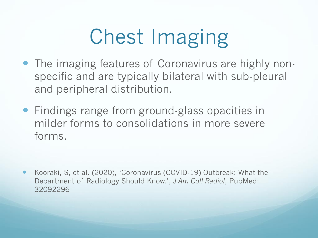# Chest Imaging

- The imaging features of Coronavirus are highly nonspecific and are typically bilateral with sub-pleural and peripheral distribution.
- Findings range from ground-glass opacities in milder forms to consolidations in more severe forms.

 Kooraki, S, et al. (2020), 'Coronavirus (COVID-19) Outbreak: What the Department of Radiology Should Know.', *J Am Coll Radiol*, PubMed: 32092296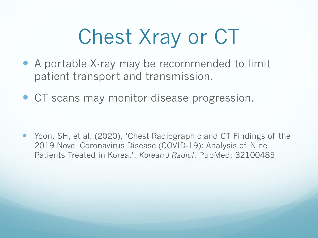# Chest Xray or CT

- A portable X-ray may be recommended to limit patient transport and transmission.
- CT scans may monitor disease progression.

 Yoon, SH, et al. (2020), 'Chest Radiographic and CT Findings of the 2019 Novel Coronavirus Disease (COVID-19): Analysis of Nine Patients Treated in Korea.', *Korean J Radiol*, PubMed: 32100485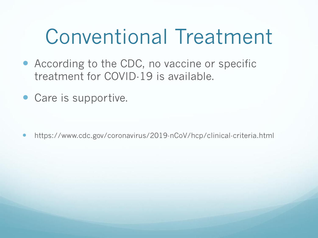### Conventional Treatment

- According to the CDC, no vaccine or specific treatment for COVID-19 is available.
- Care is supportive.

https://www.cdc.gov/coronavirus/2019-nCoV/hcp/clinical-criteria.html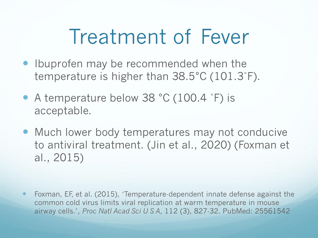### Treatment of Fever

- Ibuprofen may be recommended when the temperature is higher than 38.5°C (101.3˚F).
- A temperature below 38 °C (100.4 ˚F) is acceptable.
- Much lower body temperatures may not conducive to antiviral treatment. (Jin et al., 2020) (Foxman et al., 2015)

 Foxman, EF, et al. (2015), 'Temperature-dependent innate defense against the common cold virus limits viral replication at warm temperature in mouse airway cells.', *Proc Natl Acad Sci U S A*, 112 (3), 827-32. PubMed: 25561542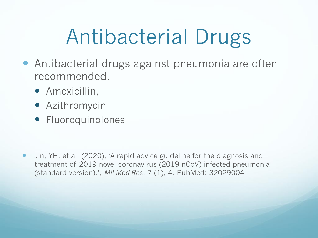# Antibacterial Drugs

- Antibacterial drugs against pneumonia are often recommended.
	- **•** Amoxicillin,
	- Azithromycin
	- **Fluoroquinolones**

• Jin, YH, et al. (2020), 'A rapid advice guideline for the diagnosis and treatment of 2019 novel coronavirus (2019-nCoV) infected pneumonia (standard version).', *Mil Med Res*, 7 (1), 4. PubMed: 32029004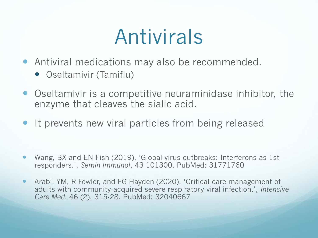### Antivirals

- Antiviral medications may also be recommended.
	- Oseltamivir (Tamiflu)
- Oseltamivir is a competitive neuraminidase inhibitor, the enzyme that cleaves the sialic acid.
- It prevents new viral particles from being released

- Wang, BX and EN Fish (2019), 'Global virus outbreaks: Interferons as 1st responders.', *Semin Immunol*, 43 101300. PubMed: 31771760
- Arabi, YM, R Fowler, and FG Hayden (2020), 'Critical care management of adults with community-acquired severe respiratory viral infection.', *Intensive Care Med*, 46 (2), 315-28. PubMed: 32040667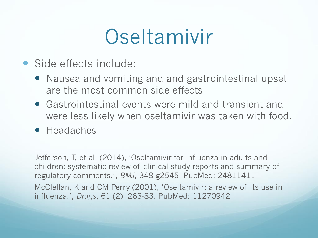### Oseltamivir

- Side effects include:
	- Nausea and vomiting and and gastrointestinal upset are the most common side effects
	- Gastrointestinal events were mild and transient and were less likely when oseltamivir was taken with food.
	- Headaches

Jefferson, T, et al. (2014), 'Oseltamivir for influenza in adults and children: systematic review of clinical study reports and summary of regulatory comments.', *BMJ*, 348 g2545. PubMed: 24811411 McClellan, K and CM Perry (2001), 'Oseltamivir: a review of its use in influenza.', *Drugs*, 61 (2), 263-83. PubMed: 11270942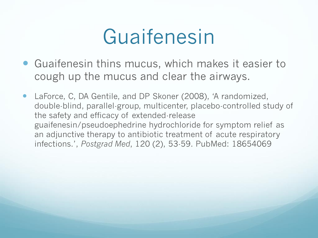### Guaifenesin

- Guaifenesin thins mucus, which makes it easier to cough up the mucus and clear the airways.
- LaForce, C, DA Gentile, and DP Skoner (2008), 'A randomized, double-blind, parallel-group, multicenter, placebo-controlled study of the safety and efficacy of extended-release guaifenesin/pseudoephedrine hydrochloride for symptom relief as an adjunctive therapy to antibiotic treatment of acute respiratory infections.', *Postgrad Med*, 120 (2), 53-59. PubMed: 18654069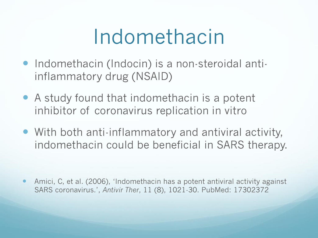### Indomethacin

- **Indomethacin (Indocin) is a non-steroidal anti**inflammatory drug (NSAID)
- A study found that indomethacin is a potent inhibitor of coronavirus replication in vitro
- With both anti-inflammatory and antiviral activity, indomethacin could be beneficial in SARS therapy.

 Amici, C, et al. (2006), 'Indomethacin has a potent antiviral activity against SARS coronavirus.', *Antivir Ther*, 11 (8), 1021-30. PubMed: 17302372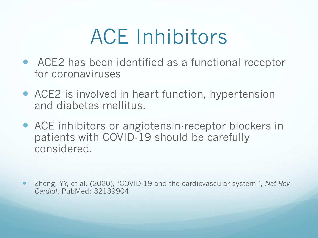# ACE Inhibitors

- ACE2 has been identified as a functional receptor for coronaviruses
- ACE2 is involved in heart function, hypertension and diabetes mellitus.
- ACE inhibitors or angiotensin-receptor blockers in patients with COVID-19 should be carefully considered.

 Zheng, YY, et al. (2020), 'COVID-19 and the cardiovascular system.', *Nat Rev Cardiol*, PubMed: 32139904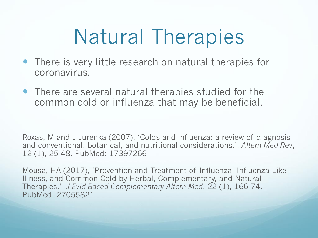# Natural Therapies

- There is very little research on natural therapies for coronavirus.
- There are several natural therapies studied for the common cold or influenza that may be beneficial.

Roxas, M and J Jurenka (2007), 'Colds and influenza: a review of diagnosis and conventional, botanical, and nutritional considerations.', *Altern Med Rev*, 12 (1), 25-48. PubMed: 17397266

Mousa, HA (2017), 'Prevention and Treatment of Influenza, Influenza-Like Illness, and Common Cold by Herbal, Complementary, and Natural Therapies.', *J Evid Based Complementary Altern Med*, 22 (1), 166-74. PubMed: 27055821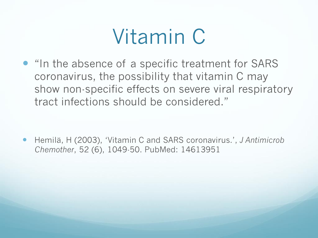## Vitamin C

• "In the absence of a specific treatment for SARS coronavirus, the possibility that vitamin C may show non-specific effects on severe viral respiratory tract infections should be considered."

 Hemilä, H (2003), 'Vitamin C and SARS coronavirus.', *J Antimicrob Chemother*, 52 (6), 1049-50. PubMed: 14613951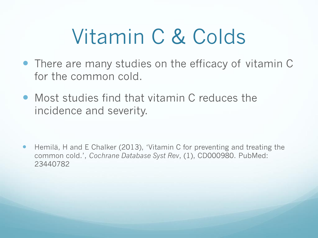# Vitamin C & Colds

- There are many studies on the efficacy of vitamin C for the common cold.
- Most studies find that vitamin C reduces the incidence and severity.

 Hemilä, H and E Chalker (2013), 'Vitamin C for preventing and treating the common cold.', *Cochrane Database Syst Rev*, (1), CD000980. PubMed: 23440782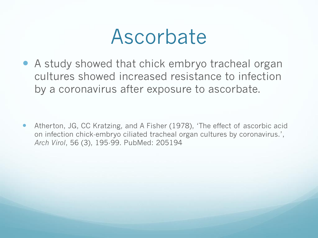#### Ascorbate

 A study showed that chick embryo tracheal organ cultures showed increased resistance to infection by a coronavirus after exposure to ascorbate.

 Atherton, JG, CC Kratzing, and A Fisher (1978), 'The effect of ascorbic acid on infection chick-embryo ciliated tracheal organ cultures by coronavirus.', *Arch Virol*, 56 (3), 195-99. PubMed: 205194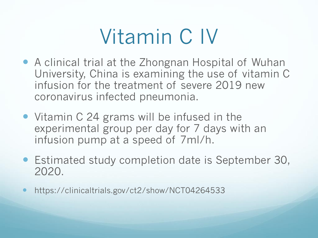## Vitamin C IV

- A clinical trial at the Zhongnan Hospital of Wuhan University, China is examining the use of vitamin C infusion for the treatment of severe 2019 new coronavirus infected pneumonia.
- Vitamin C 24 grams will be infused in the experimental group per day for 7 days with an infusion pump at a speed of 7ml/h.
- Estimated study completion date is September 30, 2020.
- https://clinicaltrials.gov/ct2/show/NCT04264533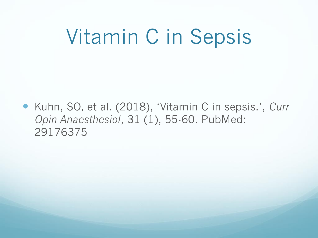### Vitamin C in Sepsis

 Kuhn, SO, et al. (2018), 'Vitamin C in sepsis.', *Curr Opin Anaesthesiol*, 31 (1), 55-60. PubMed: 29176375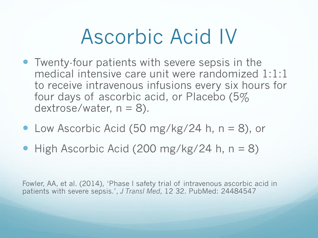### Ascorbic Acid IV

- Twenty-four patients with severe sepsis in the medical intensive care unit were randomized 1:1:1 to receive intravenous infusions every six hours for four days of ascorbic acid, or Placebo (5% dextrose/water,  $n = 8$ ).
- Low Ascorbic Acid (50 mg/kg/24 h,  $n = 8$ ), or
- $\bullet$  High Ascorbic Acid (200 mg/kg/24 h, n = 8)

Fowler, AA, et al. (2014), 'Phase I safety trial of intravenous ascorbic acid in patients with severe sepsis.', *J Transl Med*, 12 32. PubMed: 24484547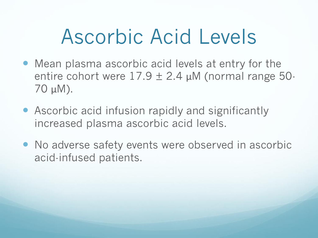## Ascorbic Acid Levels

- Mean plasma ascorbic acid levels at entry for the entire cohort were  $17.9 \pm 2.4$   $\mu$ M (normal range 50-70 μM).
- Ascorbic acid infusion rapidly and significantly increased plasma ascorbic acid levels.
- No adverse safety events were observed in ascorbic acid-infused patients.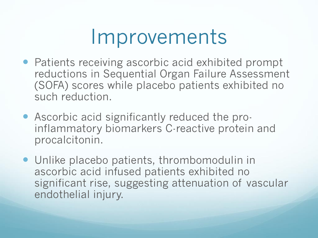#### Improvements

- Patients receiving ascorbic acid exhibited prompt reductions in Sequential Organ Failure Assessment (SOFA) scores while placebo patients exhibited no such reduction.
- Ascorbic acid significantly reduced the proinflammatory biomarkers C-reactive protein and procalcitonin.
- Unlike placebo patients, thrombomodulin in ascorbic acid infused patients exhibited no significant rise, suggesting attenuation of vascular endothelial injury.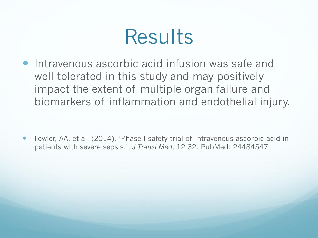#### Results

**• Intravenous ascorbic acid infusion was safe and** well tolerated in this study and may positively impact the extent of multiple organ failure and biomarkers of inflammation and endothelial injury.

 Fowler, AA, et al. (2014), 'Phase I safety trial of intravenous ascorbic acid in patients with severe sepsis.', *J Transl Med*, 12 32. PubMed: 24484547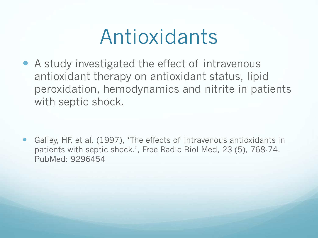#### Antioxidants

 A study investigated the effect of intravenous antioxidant therapy on antioxidant status, lipid peroxidation, hemodynamics and nitrite in patients with septic shock.

 Galley, HF, et al. (1997), 'The effects of intravenous antioxidants in patients with septic shock.', Free Radic Biol Med, 23 (5), 768-74. PubMed: 9296454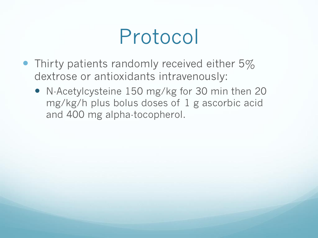### Protocol

- Thirty patients randomly received either 5% dextrose or antioxidants intravenously:
	- N-Acetylcysteine 150 mg/kg for 30 min then 20 mg/kg/h plus bolus doses of 1 g ascorbic acid and 400 mg alpha-tocopherol.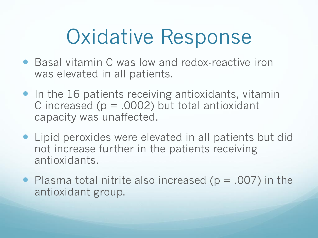## Oxidative Response

- Basal vitamin C was low and redox-reactive iron was elevated in all patients.
- In the 16 patients receiving antioxidants, vitamin C increased ( $p = .0002$ ) but total antioxidant capacity was unaffected.
- Lipid peroxides were elevated in all patients but did not increase further in the patients receiving antioxidants.
- Plasma total nitrite also increased  $(p = .007)$  in the antioxidant group.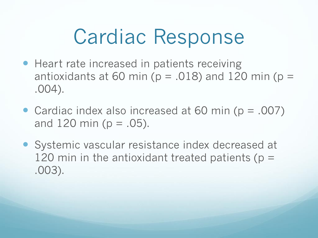### Cardiac Response

- Heart rate increased in patients receiving antioxidants at 60 min ( $p = .018$ ) and 120 min ( $p =$ .004).
- Cardiac index also increased at 60 min (p = .007) and  $120 \text{ min}$  ( $p = .05$ ).
- Systemic vascular resistance index decreased at 120 min in the antioxidant treated patients ( $p =$ .003).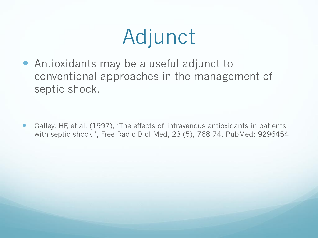## Adjunct

 Antioxidants may be a useful adjunct to conventional approaches in the management of septic shock.

 Galley, HF, et al. (1997), 'The effects of intravenous antioxidants in patients with septic shock.', Free Radic Biol Med, 23 (5), 768-74. PubMed: 9296454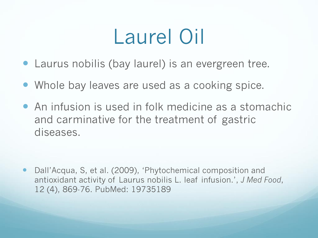## Laurel Oil

- Laurus nobilis (bay laurel) is an evergreen tree.
- Whole bay leaves are used as a cooking spice.
- An infusion is used in folk medicine as a stomachic and carminative for the treatment of gastric diseases.

 Dall'Acqua, S, et al. (2009), 'Phytochemical composition and antioxidant activity of Laurus nobilis L. leaf infusion.', *J Med Food*, 12 (4), 869-76. PubMed: 19735189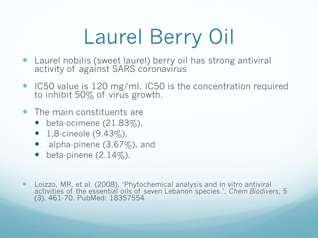# Laurel Berry Oil

- Laurel nobilis (sweet laurel) berry oil has strong antiviral activity of against SARS coronavirus
- IC50 value is 120 mg/ml. IC50 is the concentration required to inhibit 50% of virus growth.
- The main constituents are
	- beta-ocimene  $(21.83\%)$ ,
	- $1,8$ -cineole  $(9.43\%),$
	- alpha-pinene  $(3.67\%)$ , and
	- beta-pinene  $(2.14\%)$ .
- Loizzo, MR, et al. (2008), 'Phytochemical analysis and in vitro antiviral activities of the essential oils of seven Lebanon species.', *Chem Biodivers*, 5 (3), 461-70. PubMed: 18357554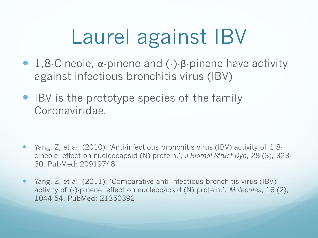# Laurel against IBV

- 1,8-Cineole, α-pinene and (-)-β-pinene have activity against infectious bronchitis virus (IBV)
- IBV is the prototype species of the family Coronaviridae.

- Yang, Z, et al. (2010), 'Anti-infectious bronchitis virus (IBV) activity of 1,8 cineole: effect on nucleocapsid (N) protein.', *J Biomol Struct Dyn*, 28 (3), 323- 30. PubMed: 20919748
- Yang, Z, et al. (2011), 'Comparative anti-infectious bronchitis virus (IBV) activity of (-)-pinene: effect on nucleocapsid (N) protein.', *Molecules*, 16 (2), 1044-54. PubMed: 21350392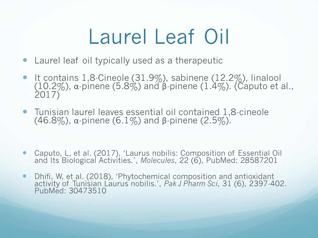# Laurel Leaf Oil

- Laurel leaf oil typically used as a therapeutic
- $\bullet$  It contains 1,8-Cineole (31.9%), sabinene (12.2%), linalool (10.2%), α-pinene (5.8%) and β-pinene (1.4%). (Caputo et al., 2017)
- Tunisian laurel leaves essential oil contained 1,8-cineole (46.8%),  $\alpha$ -pinene (6.1%) and  $\beta$ -pinene (2.5%).
- Caputo, L, et al. (2017), 'Laurus nobilis: Composition of Essential Oil and Its Biological Activities.', *Molecules*, 22 (6), PubMed: 28587201
- Dhifi, W, et al. (2018), 'Phytochemical composition and antioxidant activity of Tunisian Laurus nobilis.', *Pak J Pharm Sci*, 31 (6), 2397-402. PubMed: 30473510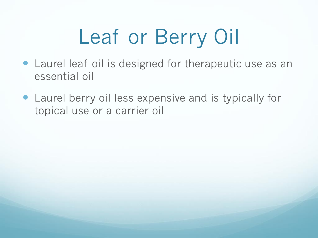# Leaf or Berry Oil

- Laurel leaf oil is designed for therapeutic use as an essential oil
- Laurel berry oil less expensive and is typically for topical use or a carrier oil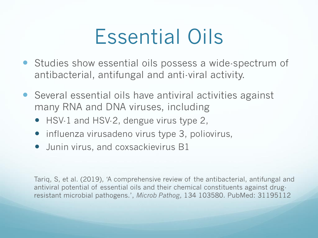## Essential Oils

- Studies show essential oils possess a wide-spectrum of antibacterial, antifungal and anti-viral activity.
- Several essential oils have antiviral activities against many RNA and DNA viruses, including
	- HSV-1 and HSV-2, dengue virus type 2,
	- $\bullet$  influenza virusadeno virus type 3, poliovirus,
	- **•** Junin virus, and coxsackievirus B1

Tariq, S, et al. (2019), 'A comprehensive review of the antibacterial, antifungal and antiviral potential of essential oils and their chemical constituents against drugresistant microbial pathogens.', *Microb Pathog*, 134 103580. PubMed: 31195112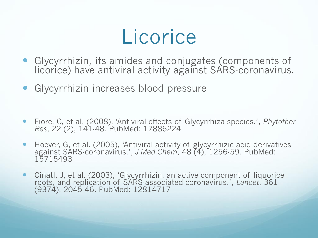#### Licorice

- Glycyrrhizin, its amides and conjugates (components of licorice) have antiviral activity against SARS-coronavirus.
- **Glycyrrhizin increases blood pressure**
- Fiore, C, et al. (2008), 'Antiviral effects of Glycyrrhiza species.', *Phytother Res*, 22 (2), 141-48. PubMed: 17886224
- Hoever, G, et al. (2005), 'Antiviral activity of glycyrrhizic acid derivatives against SARS-coronavirus.', *J Med Chem*, 48 (4), 1256-59. PubMed: 15715493
- Cinatl, J, et al. (2003), 'Glycyrrhizin, an active component of liquorice roots, and replication of SARS-associated coronavirus.', *Lancet*, 361 (9374), 2045-46. PubMed: 12814717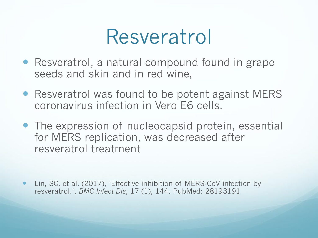#### Resveratrol

- Resveratrol, a natural compound found in grape seeds and skin and in red wine,
- Resveratrol was found to be potent against MERS coronavirus infection in Vero E6 cells.
- The expression of nucleocapsid protein, essential for MERS replication, was decreased after resveratrol treatment

 Lin, SC, et al. (2017), 'Effective inhibition of MERS-CoV infection by resveratrol.', *BMC Infect Dis*, 17 (1), 144. PubMed: 28193191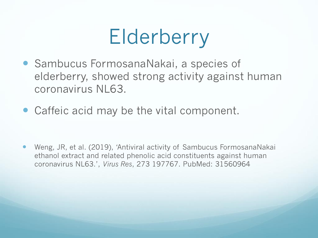# Elderberry

- Sambucus FormosanaNakai, a species of elderberry, showed strong activity against human coronavirus NL63.
- Caffeic acid may be the vital component.

 Weng, JR, et al. (2019), 'Antiviral activity of Sambucus FormosanaNakai ethanol extract and related phenolic acid constituents against human coronavirus NL63.', *Virus Res*, 273 197767. PubMed: 31560964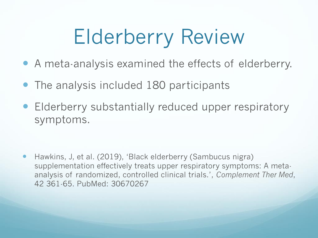# Elderberry Review

- A meta-analysis examined the effects of elderberry.
- The analysis included 180 participants
- **Elderberry substantially reduced upper respiratory** symptoms.

 Hawkins, J, et al. (2019), 'Black elderberry (Sambucus nigra) supplementation effectively treats upper respiratory symptoms: A metaanalysis of randomized, controlled clinical trials.', *Complement Ther Med*, 42 361-65. PubMed: 30670267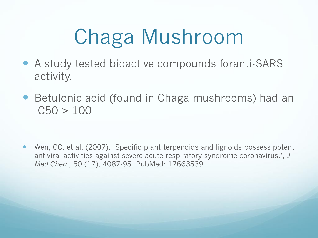# Chaga Mushroom

- A study tested bioactive compounds foranti-SARS activity.
- Betulonic acid (found in Chaga mushrooms) had an  $IC50 > 100$

 Wen, CC, et al. (2007), 'Specific plant terpenoids and lignoids possess potent antiviral activities against severe acute respiratory syndrome coronavirus.', *J Med Chem*, 50 (17), 4087-95. PubMed: 17663539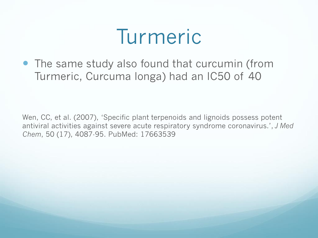#### Turmeric

 The same study also found that curcumin (from Turmeric, Curcuma longa) had an IC50 of 40

Wen, CC, et al. (2007), 'Specific plant terpenoids and lignoids possess potent antiviral activities against severe acute respiratory syndrome coronavirus.', *J Med Chem*, 50 (17), 4087-95. PubMed: 17663539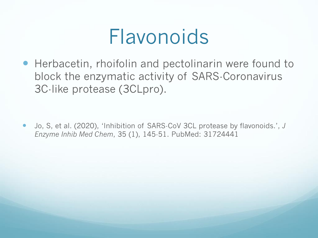#### Flavonoids

 Herbacetin, rhoifolin and pectolinarin were found to block the enzymatic activity of SARS-Coronavirus 3C-like protease (3CLpro).

 Jo, S, et al. (2020), 'Inhibition of SARS-CoV 3CL protease by flavonoids.', *J Enzyme Inhib Med Chem*, 35 (1), 145-51. PubMed: 31724441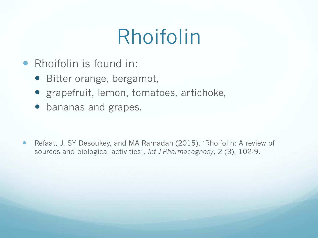## Rhoifolin

- Rhoifolin is found in:
	- Bitter orange, bergamot,
	- grapefruit, lemon, tomatoes, artichoke,
	- bananas and grapes.

• Refaat, J, SY Desoukey, and MA Ramadan (2015), 'Rhoifolin: A review of sources and biological activities', *Int J Pharmacognosy*, 2 (3), 102-9.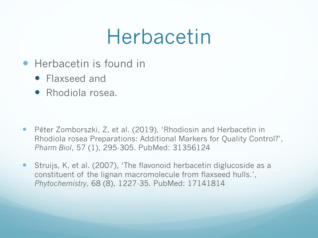#### Herbacetin

- Herbacetin is found in
	- Flaxseed and
	- Rhodiola rosea.

- Péter Zomborszki, Z, et al. (2019), 'Rhodiosin and Herbacetin in Rhodiola rosea Preparations: Additional Markers for Quality Control?', *Pharm Biol*, 57 (1), 295-305. PubMed: 31356124
- Struijs, K, et al. (2007), 'The flavonoid herbacetin diglucoside as a constituent of the lignan macromolecule from flaxseed hulls.', *Phytochemistry*, 68 (8), 1227-35. PubMed: 17141814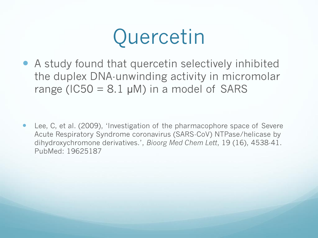## Quercetin

 A study found that quercetin selectively inhibited the duplex DNA-unwinding activity in micromolar range (IC50 =  $8.1 \mu$ M) in a model of SARS

 Lee, C, et al. (2009), 'Investigation of the pharmacophore space of Severe Acute Respiratory Syndrome coronavirus (SARS-CoV) NTPase/helicase by dihydroxychromone derivatives.', *Bioorg Med Chem Lett*, 19 (16), 4538-41. PubMed: 19625187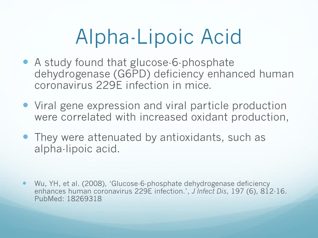# Alpha-Lipoic Acid

- A study found that glucose-6-phosphate dehydrogenase (G6PD) deficiency enhanced human coronavirus 229E infection in mice.
- Viral gene expression and viral particle production were correlated with increased oxidant production,
- They were attenuated by antioxidants, such as alpha-lipoic acid.

 Wu, YH, et al. (2008), 'Glucose-6-phosphate dehydrogenase deficiency enhances human coronavirus 229E infection.', *J Infect Dis*, 197 (6), 812-16. PubMed: 18269318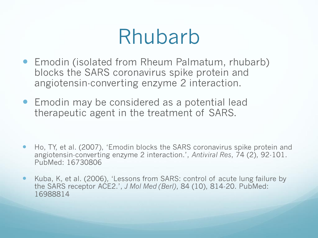#### Rhubarb

- Emodin (isolated from Rheum Palmatum, rhubarb) blocks the SARS coronavirus spike protein and angiotensin-converting enzyme 2 interaction.
- Emodin may be considered as a potential lead therapeutic agent in the treatment of SARS.

- Ho, TY, et al. (2007), 'Emodin blocks the SARS coronavirus spike protein and angiotensin-converting enzyme 2 interaction.', *Antiviral Res*, 74 (2), 92-101. PubMed: 16730806
- Kuba, K, et al. (2006), 'Lessons from SARS: control of acute lung failure by the SARS receptor ACE2.', *J Mol Med (Berl)*, 84 (10), 814-20. PubMed: 16988814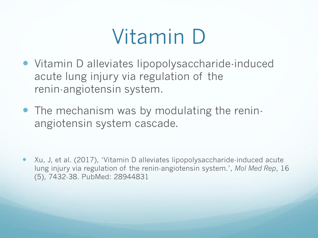# Vitamin D

- Vitamin D alleviates lipopolysaccharide-induced acute lung injury via regulation of the renin-angiotensin system.
- The mechanism was by modulating the reninangiotensin system cascade.

 Xu, J, et al. (2017), 'Vitamin D alleviates lipopolysaccharide-induced acute lung injury via regulation of the renin-angiotensin system.', *Mol Med Rep*, 16 (5), 7432-38. PubMed: 28944831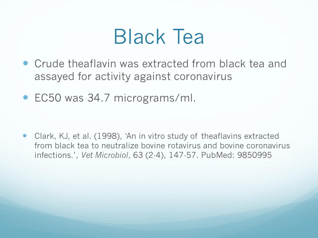### Black Tea

- Crude theaflavin was extracted from black tea and assayed for activity against coronavirus
- EC50 was 34.7 micrograms/ml.

 Clark, KJ, et al. (1998), 'An in vitro study of theaflavins extracted from black tea to neutralize bovine rotavirus and bovine coronavirus infections.', *Vet Microbiol*, 63 (2-4), 147-57. PubMed: 9850995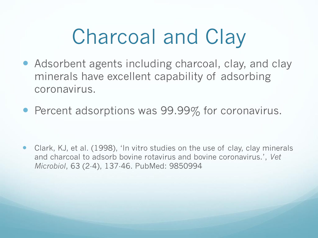# Charcoal and Clay

- Adsorbent agents including charcoal, clay, and clay minerals have excellent capability of adsorbing coronavirus.
- Percent adsorptions was 99.99% for coronavirus.

 Clark, KJ, et al. (1998), 'In vitro studies on the use of clay, clay minerals and charcoal to adsorb bovine rotavirus and bovine coronavirus.', *Vet Microbiol*, 63 (2-4), 137-46. PubMed: 9850994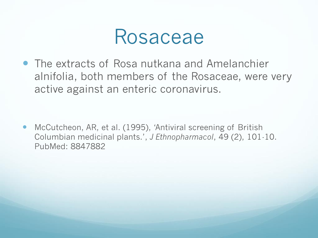

 The extracts of Rosa nutkana and Amelanchier alnifolia, both members of the Rosaceae, were very active against an enteric coronavirus.

 McCutcheon, AR, et al. (1995), 'Antiviral screening of British Columbian medicinal plants.', *J Ethnopharmacol*, 49 (2), 101-10. PubMed: 8847882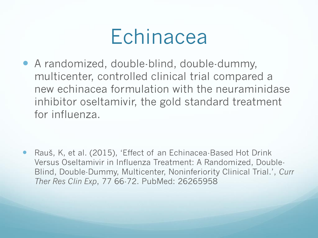

 A randomized, double-blind, double-dummy, multicenter, controlled clinical trial compared a new echinacea formulation with the neuraminidase inhibitor oseltamivir, the gold standard treatment for influenza.

 Rauš, K, et al. (2015), 'Effect of an Echinacea-Based Hot Drink Versus Oseltamivir in Influenza Treatment: A Randomized, Double-Blind, Double-Dummy, Multicenter, Noninferiority Clinical Trial.', *Curr Ther Res Clin Exp*, 77 66-72. PubMed: 26265958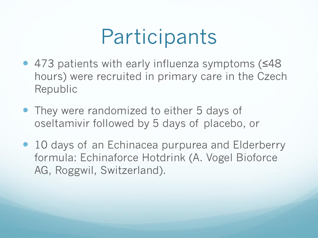# **Participants**

- 473 patients with early influenza symptoms (≤48 hours) were recruited in primary care in the Czech Republic
- They were randomized to either 5 days of oseltamivir followed by 5 days of placebo, or
- 10 days of an Echinacea purpurea and Elderberry formula: Echinaforce Hotdrink (A. Vogel Bioforce AG, Roggwil, Switzerland).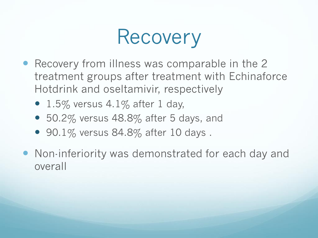## Recovery

- Recovery from illness was comparable in the 2 treatment groups after treatment with Echinaforce Hotdrink and oseltamivir, respectively
	- 1.5% versus  $4.1\%$  after 1 day,
	- 50.2% versus 48.8% after 5 days, and
	- 90.1% versus 84.8% after 10 days.
- Non-inferiority was demonstrated for each day and overall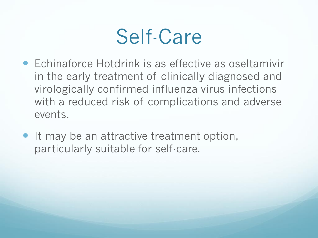#### Self-Care

- Echinaforce Hotdrink is as effective as oseltamivir in the early treatment of clinically diagnosed and virologically confirmed influenza virus infections with a reduced risk of complications and adverse events.
- It may be an attractive treatment option, particularly suitable for self-care.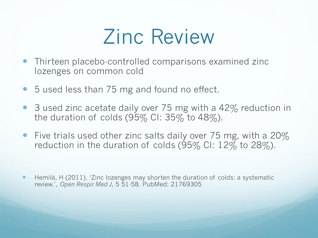### Zinc Review

- Thirteen placebo-controlled comparisons examined zinc lozenges on common cold
- 5 used less than 75 mg and found no effect.
- 3 used zinc acetate daily over 75 mg with a 42% reduction in the duration of colds  $(95\%$  CI: 35% to 48%).
- Five trials used other zinc salts daily over 75 mg, with a  $20\%$ reduction in the duration of colds (95% CI: 12% to 28%).
- Hemilä, H (2011), 'Zinc lozenges may shorten the duration of colds: a systematic review.', *Open Respir Med J*, 5 51-58. PubMed: 21769305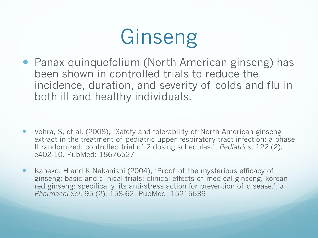# Ginseng

• Panax quinquefolium (North American ginseng) has been shown in controlled trials to reduce the incidence, duration, and severity of colds and flu in both ill and healthy individuals.

- Vohra, S, et al. (2008), 'Safety and tolerability of North American ginseng extract in the treatment of pediatric upper respiratory tract infection: a phase II randomized, controlled trial of 2 dosing schedules.', *Pediatrics*, 122 (2), e402-10. PubMed: 18676527
- Kaneko, H and K Nakanishi (2004), 'Proof of the mysterious efficacy of ginseng: basic and clinical trials: clinical effects of medical ginseng, korean red ginseng: specifically, its anti-stress action for prevention of disease.', *J Pharmacol Sci*, 95 (2), 158-62. PubMed: 15215639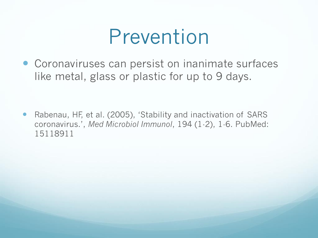#### Prevention

 Coronaviruses can persist on inanimate surfaces like metal, glass or plastic for up to 9 days.

 Rabenau, HF, et al. (2005), 'Stability and inactivation of SARS coronavirus.', *Med Microbiol Immunol*, 194 (1-2), 1-6. PubMed: 15118911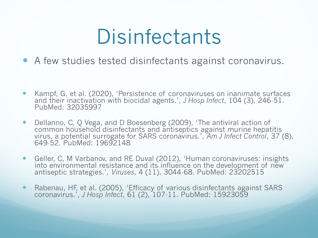## **Disinfectants**

- A few studies tested disinfectants against coronavirus.
- Kampf, G, et al. (2020), 'Persistence of coronaviruses on inanimate surfaces and their inactivation with biocidal agents.', *J Hosp Infect*, 104 (3), 246-51. PubMed: 32035997
- Dellanno, C, Q Vega, and D Boesenberg (2009), 'The antiviral action of common household disinfectants and antiseptics against murine hepatitis virus, a potential surrogate for SARS coronavirus.', *Am J Infect Control*, 37 (8), 649-52. PubMed: 19692148
- Geller, C, M Varbanov, and RE Duval (2012), 'Human coronaviruses: insights into environmental resistance and its influence on the development of new antiseptic strategies.', *Viruses*, 4 (11), 3044-68. PubMed: 23202515
- Rabenau, HF, et al. (2005), 'Efficacy of various disinfectants against SARS coronavirus.', *J Hosp Infect*, 61 (2), 107-11. PubMed: 15923059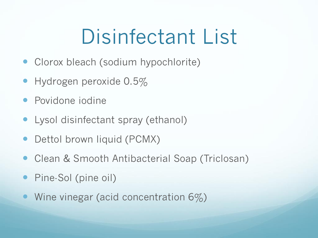# Disinfectant List

- Clorox bleach (sodium hypochlorite)
- Hydrogen peroxide 0.5%
- Povidone iodine
- Lysol disinfectant spray (ethanol)
- Dettol brown liquid (PCMX)
- Clean & Smooth Antibacterial Soap (Triclosan)
- Pine-Sol (pine oil)
- Wine vinegar (acid concentration  $6\%)$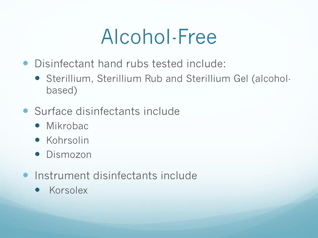## Alcohol-Free

- Disinfectant hand rubs tested include:
	- Sterillium, Sterillium Rub and Sterillium Gel (alcoholbased)
- Surface disinfectants include
	- Mikrobac
	- **•** Kohrsolin
	- **•** Dismozon
- **Instrument disinfectants include** 
	- Korsolex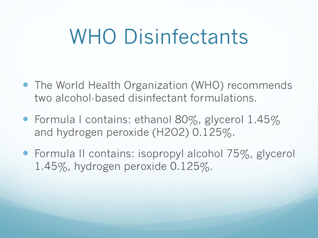### WHO Disinfectants

- The World Health Organization (WHO) recommends two alcohol-based disinfectant formulations.
- Formula I contains: ethanol 80%, glycerol 1.45% and hydrogen peroxide (H2O2) 0.125%.
- Formula II contains: isopropyl alcohol 75%, glycerol 1.45%, hydrogen peroxide 0.125%.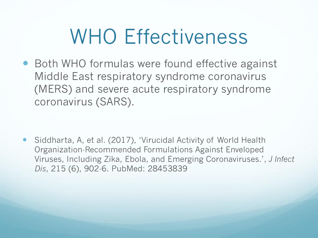## WHO Effectiveness

● Both WHO formulas were found effective against Middle East respiratory syndrome coronavirus (MERS) and severe acute respiratory syndrome coronavirus (SARS).

 Siddharta, A, et al. (2017), 'Virucidal Activity of World Health Organization-Recommended Formulations Against Enveloped Viruses, Including Zika, Ebola, and Emerging Coronaviruses.', *J Infect Dis*, 215 (6), 902-6. PubMed: 28453839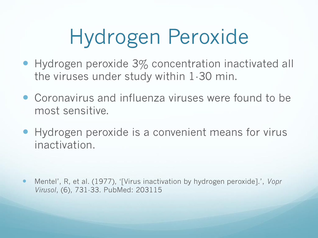# Hydrogen Peroxide

- Hydrogen peroxide 3% concentration inactivated all the viruses under study within 1-30 min.
- Coronavirus and influenza viruses were found to be most sensitive.
- Hydrogen peroxide is a convenient means for virus inactivation.

 Mentel', R, et al. (1977), '[Virus inactivation by hydrogen peroxide].', *Vopr Virusol*, (6), 731-33. PubMed: 203115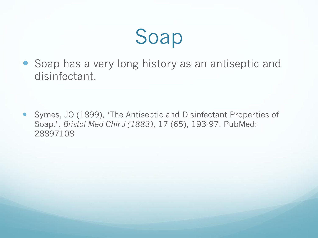Soap

• Soap has a very long history as an antiseptic and disinfectant.

 Symes, JO (1899), 'The Antiseptic and Disinfectant Properties of Soap.', *Bristol Med Chir J (1883)*, 17 (65), 193-97. PubMed: 28897108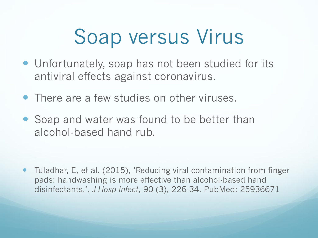# Soap versus Virus

- Unfortunately, soap has not been studied for its antiviral effects against coronavirus.
- There are a few studies on other viruses.
- Soap and water was found to be better than alcohol-based hand rub.

 Tuladhar, E, et al. (2015), 'Reducing viral contamination from finger pads: handwashing is more effective than alcohol-based hand disinfectants.', *J Hosp Infect*, 90 (3), 226-34. PubMed: 25936671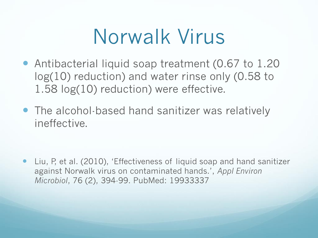# Norwalk Virus

- Antibacterial liquid soap treatment (0.67 to 1.20 log(10) reduction) and water rinse only (0.58 to 1.58 log(10) reduction) were effective.
- The alcohol-based hand sanitizer was relatively ineffective.

 Liu, P, et al. (2010), 'Effectiveness of liquid soap and hand sanitizer against Norwalk virus on contaminated hands.', *Appl Environ Microbiol*, 76 (2), 394-99. PubMed: 19933337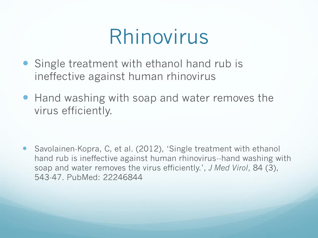## Rhinovirus

- Single treatment with ethanol hand rub is ineffective against human rhinovirus
- Hand washing with soap and water removes the virus efficiently.

 Savolainen-Kopra, C, et al. (2012), 'Single treatment with ethanol hand rub is ineffective against human rhinovirus--hand washing with soap and water removes the virus efficiently.', *J Med Virol*, 84 (3), 543-47. PubMed: 22246844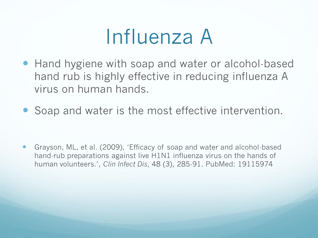## Influenza A

- Hand hygiene with soap and water or alcohol-based hand rub is highly effective in reducing influenza A virus on human hands.
- Soap and water is the most effective intervention.

 Grayson, ML, et al. (2009), 'Efficacy of soap and water and alcohol-based hand-rub preparations against live H1N1 influenza virus on the hands of human volunteers.', *Clin Infect Dis*, 48 (3), 285-91. PubMed: 19115974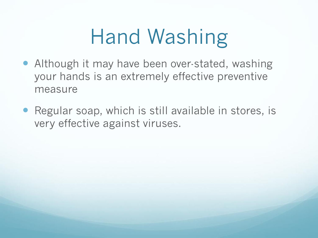# Hand Washing

- Although it may have been over-stated, washing your hands is an extremely effective preventive measure
- Regular soap, which is still available in stores, is very effective against viruses.